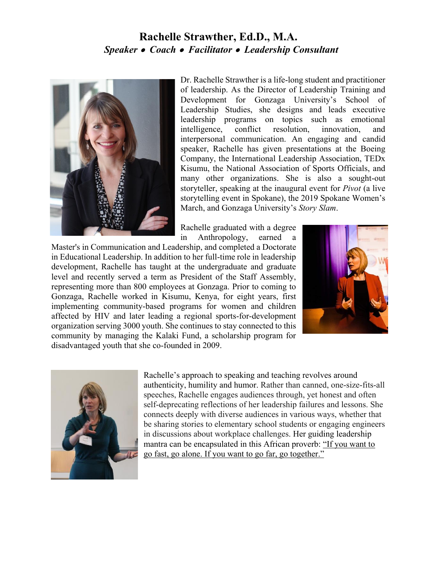## **Rachelle Strawther, Ed.D., M.A.**  *Speaker Coach Facilitator Leadership Consultant*



Dr. Rachelle Strawther is a life-long student and practitioner of leadership. As the Director of Leadership Training and Development for Gonzaga University's School of Leadership Studies, she designs and leads executive leadership programs on topics such as emotional intelligence, conflict resolution, innovation, and interpersonal communication. An engaging and candid speaker, Rachelle has given presentations at the Boeing Company, the International Leadership Association, TEDx Kisumu, the National Association of Sports Officials, and many other organizations. She is also a sought-out storyteller, speaking at the inaugural event for *Pivot* (a live storytelling event in Spokane), the 2019 Spokane Women's March, and Gonzaga University's *Story Slam*.

Rachelle graduated with a degree in Anthropology, earned a

Master's in Communication and Leadership, and completed a Doctorate in Educational Leadership. In addition to her full-time role in leadership development, Rachelle has taught at the undergraduate and graduate level and recently served a term as President of the Staff Assembly, representing more than 800 employees at Gonzaga. Prior to coming to Gonzaga, Rachelle worked in Kisumu, Kenya, for eight years, first implementing community-based programs for women and children affected by HIV and later leading a regional sports-for-development organization serving 3000 youth. She continues to stay connected to this community by managing the Kalaki Fund, a scholarship program for disadvantaged youth that she co-founded in 2009.





Rachelle's approach to speaking and teaching revolves around authenticity, humility and humor. Rather than canned, one-size-fits-all speeches, Rachelle engages audiences through, yet honest and often self-deprecating reflections of her leadership failures and lessons. She connects deeply with diverse audiences in various ways, whether that be sharing stories to elementary school students or engaging engineers in discussions about workplace challenges. Her guiding leadership mantra can be encapsulated in this African proverb: "If you want to go fast, go alone. If you want to go far, go together."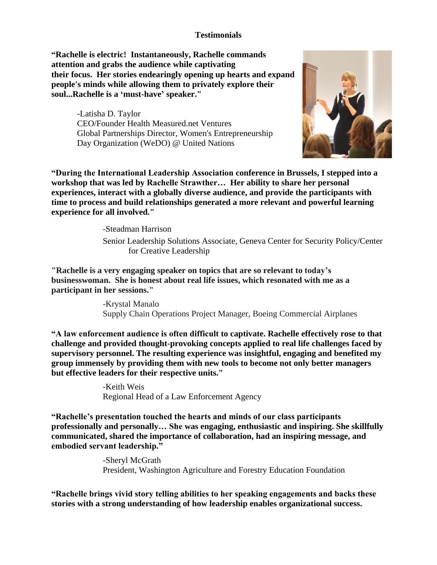### **Testimonials**

**"Rachelle is electric! Instantaneously, Rachelle commands attention and grabs the audience while captivating their focus. Her stories endearingly opening up hearts and expand people's minds while allowing them to privately explore their soul...Rachelle is a 'must-have' speaker."**

> -Latisha D. Taylor CEO/Founder Health Measured.net Ventures Global Partnerships Director, Women's Entrepreneurship Day Organization (WeDO) @ United Nations



**"During the International Leadership Association conference in Brussels, I stepped into a workshop that was led by Rachelle Strawther… Her ability to share her personal experiences, interact with a globally diverse audience, and provide the participants with time to process and build relationships generated a more relevant and powerful learning experience for all involved."**

-Steadman Harrison

Senior Leadership Solutions Associate, Geneva Center for Security Policy/Center for Creative Leadership

**"Rachelle is a very engaging speaker on topics that are so relevant to today's businesswoman. She is honest about real life issues, which resonated with me as a participant in her sessions."**

> -Krystal Manalo Supply Chain Operations Project Manager, Boeing Commercial Airplanes

**"A law enforcement audience is often difficult to captivate. Rachelle effectively rose to that challenge and provided thought-provoking concepts applied to real life challenges faced by supervisory personnel. The resulting experience was insightful, engaging and benefited my group immensely by providing them with new tools to become not only better managers but effective leaders for their respective units."**

> -Keith Weis Regional Head of a Law Enforcement Agency

**"Rachelle's presentation touched the hearts and minds of our class participants professionally and personally… She was engaging, enthusiastic and inspiring. She skillfully communicated, shared the importance of collaboration, had an inspiring message, and embodied servant leadership."** 

> -Sheryl McGrath President, Washington Agriculture and Forestry Education Foundation

**"Rachelle brings vivid story telling abilities to her speaking engagements and backs these stories with a strong understanding of how leadership enables organizational success.**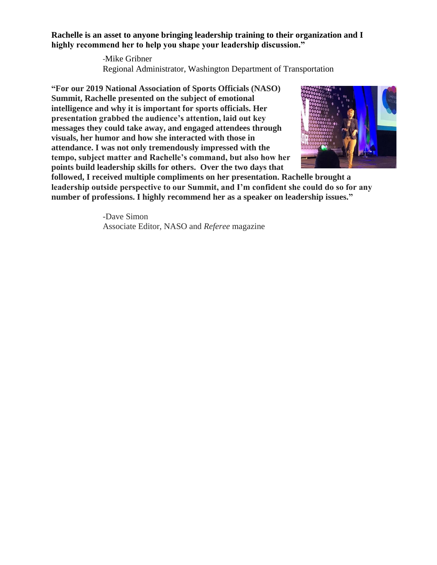**Rachelle is an asset to anyone bringing leadership training to their organization and I highly recommend her to help you shape your leadership discussion."**

> -Mike Gribner Regional Administrator, Washington Department of Transportation

**"For our 2019 National Association of Sports Officials (NASO) Summit, Rachelle presented on the subject of emotional intelligence and why it is important for sports officials. Her presentation grabbed the audience's attention, laid out key messages they could take away, and engaged attendees through visuals, her humor and how she interacted with those in attendance. I was not only tremendously impressed with the tempo, subject matter and Rachelle's command, but also how her points build leadership skills for others. Over the two days that** 



**followed, I received multiple compliments on her presentation. Rachelle brought a leadership outside perspective to our Summit, and I'm confident she could do so for any number of professions. I highly recommend her as a speaker on leadership issues."**

> -Dave Simon Associate Editor, NASO and *Referee* magazine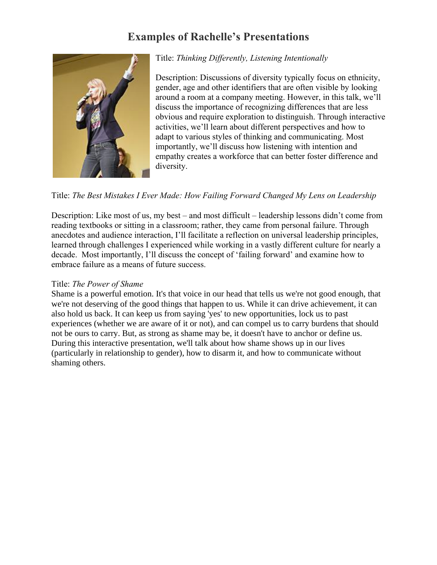# **Examples of Rachelle's Presentations**



## Title: *Thinking Differently, Listening Intentionally*

Description: Discussions of diversity typically focus on ethnicity, gender, age and other identifiers that are often visible by looking around a room at a company meeting. However, in this talk, we'll discuss the importance of recognizing differences that are less obvious and require exploration to distinguish. Through interactive activities, we'll learn about different perspectives and how to adapt to various styles of thinking and communicating. Most importantly, we'll discuss how listening with intention and empathy creates a workforce that can better foster difference and diversity.

### Title: *The Best Mistakes I Ever Made: How Failing Forward Changed My Lens on Leadership*

Description: Like most of us, my best – and most difficult – leadership lessons didn't come from reading textbooks or sitting in a classroom; rather, they came from personal failure. Through anecdotes and audience interaction, I'll facilitate a reflection on universal leadership principles, learned through challenges I experienced while working in a vastly different culture for nearly a decade. Most importantly, I'll discuss the concept of 'failing forward' and examine how to embrace failure as a means of future success.

#### Title: *The Power of Shame*

Shame is a powerful emotion. It's that voice in our head that tells us we're not good enough, that we're not deserving of the good things that happen to us. While it can drive achievement, it can also hold us back. It can keep us from saying 'yes' to new opportunities, lock us to past experiences (whether we are aware of it or not), and can compel us to carry burdens that should not be ours to carry. But, as strong as shame may be, it doesn't have to anchor or define us. During this interactive presentation, we'll talk about how shame shows up in our lives (particularly in relationship to gender), how to disarm it, and how to communicate without shaming others.